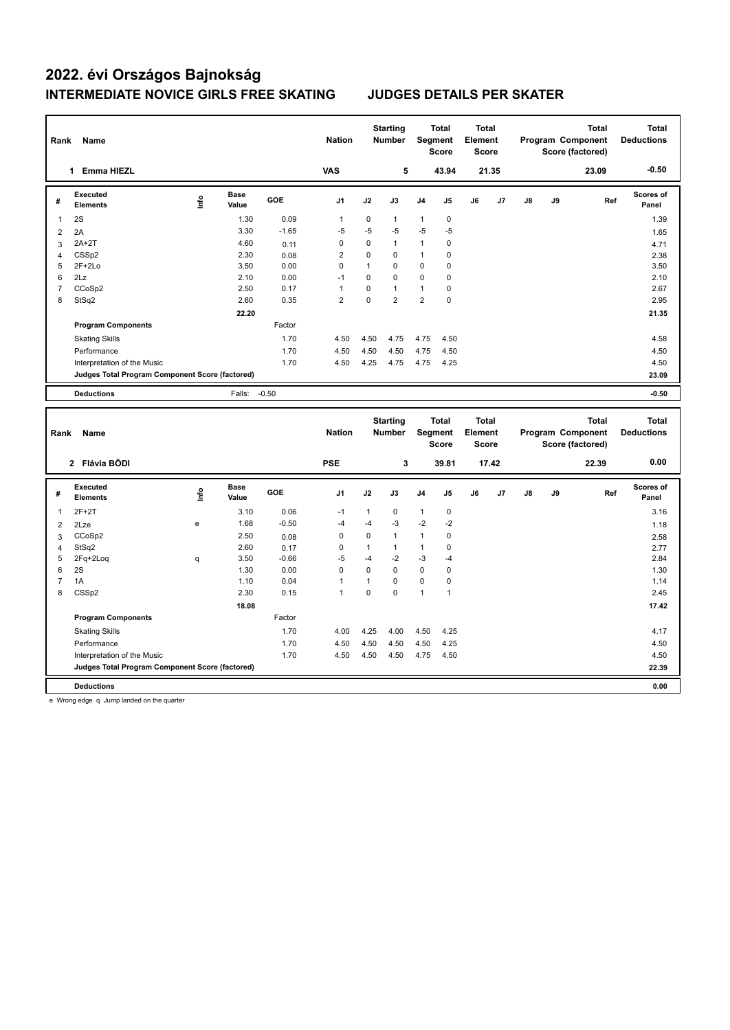| Rank           | Name                                            |      |                      |            | <b>Nation</b>  |              | <b>Starting</b><br><b>Number</b> |                | <b>Total</b><br>Segment<br>Score | Total<br>Element<br><b>Score</b> |       |    |    | <b>Total</b><br>Program Component<br>Score (factored) |     | <b>Total</b><br><b>Deductions</b> |
|----------------|-------------------------------------------------|------|----------------------|------------|----------------|--------------|----------------------------------|----------------|----------------------------------|----------------------------------|-------|----|----|-------------------------------------------------------|-----|-----------------------------------|
|                | 1 Emma HIEZL                                    |      |                      |            | <b>VAS</b>     |              | 5                                |                | 43.94                            |                                  | 21.35 |    |    | 23.09                                                 |     | $-0.50$                           |
| #              | Executed<br><b>Elements</b>                     | lnfo | <b>Base</b><br>Value | <b>GOE</b> | J <sub>1</sub> | J2           | J3                               | J <sub>4</sub> | J5                               | J6                               | J7    | J8 | J9 |                                                       | Ref | Scores of<br>Panel                |
| $\mathbf{1}$   | 2S                                              |      | 1.30                 | 0.09       | $\mathbf{1}$   | 0            | $\mathbf{1}$                     | $\mathbf{1}$   | 0                                |                                  |       |    |    |                                                       |     | 1.39                              |
| $\overline{2}$ | 2A                                              |      | 3.30                 | $-1.65$    | $-5$           | $-5$         | $-5$                             | $-5$           | -5                               |                                  |       |    |    |                                                       |     | 1.65                              |
| 3              | $2A+2T$                                         |      | 4.60                 | 0.11       | $\pmb{0}$      | 0            | $\mathbf{1}$                     | $\mathbf{1}$   | $\mathbf 0$                      |                                  |       |    |    |                                                       |     | 4.71                              |
| $\overline{4}$ | CSS <sub>p2</sub>                               |      | 2.30                 | 0.08       | $\overline{2}$ | 0            | 0                                | $\mathbf{1}$   | $\mathbf 0$                      |                                  |       |    |    |                                                       |     | 2.38                              |
| 5              | $2F+2Lo$                                        |      | 3.50                 | 0.00       | $\pmb{0}$      | $\mathbf{1}$ | 0                                | $\mathbf 0$    | $\mathbf 0$                      |                                  |       |    |    |                                                       |     | 3.50                              |
| 6              | 2Lz                                             |      | 2.10                 | 0.00       | $-1$           | $\mathbf 0$  | 0                                | $\mathbf 0$    | $\mathbf 0$                      |                                  |       |    |    |                                                       |     | 2.10                              |
| $\overline{7}$ | CCoSp2                                          |      | 2.50                 | 0.17       | $\mathbf{1}$   | $\mathbf 0$  | $\mathbf{1}$                     | $\mathbf{1}$   | $\mathbf 0$                      |                                  |       |    |    |                                                       |     | 2.67                              |
| 8              | StSq2                                           |      | 2.60                 | 0.35       | $\overline{2}$ | $\mathbf 0$  | $\overline{2}$                   | $\overline{2}$ | $\mathbf 0$                      |                                  |       |    |    |                                                       |     | 2.95                              |
|                |                                                 |      | 22.20                |            |                |              |                                  |                |                                  |                                  |       |    |    |                                                       |     | 21.35                             |
|                | <b>Program Components</b>                       |      |                      | Factor     |                |              |                                  |                |                                  |                                  |       |    |    |                                                       |     |                                   |
|                | <b>Skating Skills</b>                           |      |                      | 1.70       | 4.50           | 4.50         | 4.75                             | 4.75           | 4.50                             |                                  |       |    |    |                                                       |     | 4.58                              |
|                | Performance                                     |      |                      | 1.70       | 4.50           | 4.50         | 4.50                             | 4.75           | 4.50                             |                                  |       |    |    |                                                       |     | 4.50                              |
|                | Interpretation of the Music                     |      |                      | 1.70       | 4.50           | 4.25         | 4.75                             | 4.75           | 4.25                             |                                  |       |    |    |                                                       |     | 4.50                              |
|                | Judges Total Program Component Score (factored) |      |                      |            |                |              |                                  |                |                                  |                                  |       |    |    |                                                       |     | 23.09                             |
|                | <b>Deductions</b>                               |      | Falls:               | $-0.50$    |                |              |                                  |                |                                  |                                  |       |    |    |                                                       |     | $-0.50$                           |
|                |                                                 |      |                      |            |                |              |                                  |                |                                  |                                  |       |    |    |                                                       |     |                                   |
|                |                                                 |      |                      |            |                |              |                                  |                |                                  |                                  |       |    |    |                                                       |     |                                   |
|                |                                                 |      |                      |            |                |              | <b>Starting</b>                  |                | <b>Total</b>                     | <b>Total</b>                     |       |    |    | <b>Total</b>                                          |     | <b>Total</b>                      |
| Rank           | Name                                            |      |                      |            | <b>Nation</b>  |              | <b>Number</b>                    |                | Segment                          | Element                          |       |    |    | Program Component                                     |     | <b>Deductions</b>                 |
|                |                                                 |      |                      |            |                |              |                                  |                | Score                            | <b>Score</b>                     |       |    |    | Score (factored)                                      |     |                                   |
|                | 2 Flávia BÕDI                                   |      |                      |            | <b>PSE</b>     |              | 3                                |                | 39.81                            |                                  | 17.42 |    |    | 22.39                                                 |     | 0.00                              |
| #              | <b>Executed</b>                                 |      | <b>Base</b>          | GOE        | J <sub>1</sub> | J2           | J3                               | J <sub>4</sub> | J5                               | J6                               | J7    | J8 | J9 |                                                       | Ref | Scores of                         |
|                | <b>Elements</b>                                 | ۴ů   | Value                |            |                |              |                                  |                |                                  |                                  |       |    |    |                                                       |     | Panel                             |
| 1              | $2F+2T$                                         |      | 3.10                 | 0.06       | $-1$           | $\mathbf{1}$ | 0                                | $\mathbf{1}$   | 0                                |                                  |       |    |    |                                                       |     | 3.16                              |
| 2              | 2Lze                                            | e    | 1.68                 | $-0.50$    | $-4$           | $-4$         | -3                               | $-2$           | $-2$                             |                                  |       |    |    |                                                       |     | 1.18                              |
| 3              | CCoSp2                                          |      | 2.50                 | 0.08       | $\mathbf 0$    | $\mathbf 0$  | $\mathbf{1}$                     | $\mathbf{1}$   | $\mathbf 0$                      |                                  |       |    |    |                                                       |     | 2.58                              |
| 4              | StSq2                                           |      | 2.60                 | 0.17       | $\mathbf 0$    | $\mathbf{1}$ | $\mathbf{1}$                     | $\mathbf{1}$   | $\mathbf 0$                      |                                  |       |    |    |                                                       |     | 2.77                              |
| 5              | 2Fq+2Loq                                        | q    | 3.50                 | $-0.66$    | $-5$           | $-4$         | $-2$                             | $-3$           | $-4$                             |                                  |       |    |    |                                                       |     | 2.84                              |
| 6              | 2S                                              |      | 1.30                 | 0.00       | $\mathbf 0$    | $\mathbf 0$  | 0                                | $\mathbf 0$    | $\mathbf 0$                      |                                  |       |    |    |                                                       |     | 1.30                              |
| $\overline{7}$ | 1A                                              |      | 1.10                 | 0.04       | $\mathbf{1}$   | $\mathbf{1}$ | 0                                | $\pmb{0}$      | $\mathbf 0$                      |                                  |       |    |    |                                                       |     | 1.14                              |
| 8              | CSS <sub>p2</sub>                               |      | 2.30                 | 0.15       | $\overline{1}$ | $\mathbf 0$  | 0                                | $\mathbf{1}$   | $\mathbf{1}$                     |                                  |       |    |    |                                                       |     | 2.45                              |
|                |                                                 |      | 18.08                |            |                |              |                                  |                |                                  |                                  |       |    |    |                                                       |     | 17.42                             |
|                | <b>Program Components</b>                       |      |                      | Factor     |                |              |                                  |                |                                  |                                  |       |    |    |                                                       |     |                                   |
|                | <b>Skating Skills</b>                           |      |                      | 1.70       | 4.00           | 4.25         | 4.00                             | 4.50           | 4.25                             |                                  |       |    |    |                                                       |     | 4.17                              |
|                | Performance                                     |      |                      | 1.70       | 4.50           | 4.50         | 4.50                             | 4.50           | 4.25                             |                                  |       |    |    |                                                       |     | 4.50                              |
|                | Interpretation of the Music                     |      |                      | 1.70       | 4.50           | 4.50         | 4.50                             | 4.75           | 4.50                             |                                  |       |    |    |                                                       |     | 4.50                              |
|                | Judges Total Program Component Score (factored) |      |                      |            |                |              |                                  |                |                                  |                                  |       |    |    |                                                       |     | 22.39                             |

e Wrong edge q Jump landed on the quarter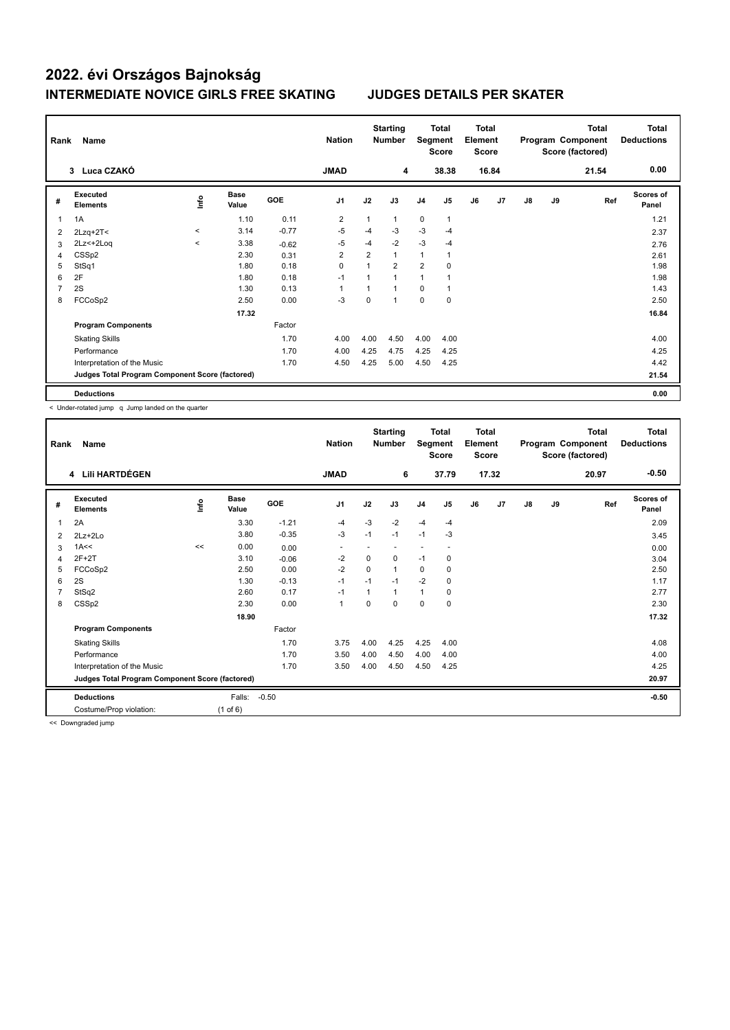| Rank | Name                                            |         |                      |            | <b>Nation</b>  |                | <b>Starting</b><br><b>Number</b> |                | <b>Total</b><br>Segment<br><b>Score</b> | Total<br>Element<br><b>Score</b> |                |    |    | <b>Total</b><br>Program Component<br>Score (factored) | <b>Total</b><br><b>Deductions</b> |
|------|-------------------------------------------------|---------|----------------------|------------|----------------|----------------|----------------------------------|----------------|-----------------------------------------|----------------------------------|----------------|----|----|-------------------------------------------------------|-----------------------------------|
|      | 3 Luca CZAKÓ                                    |         |                      |            | <b>JMAD</b>    |                | 4                                |                | 38.38                                   |                                  | 16.84          |    |    | 21.54                                                 | 0.00                              |
| #    | Executed<br><b>Elements</b>                     | lnfo    | <b>Base</b><br>Value | <b>GOE</b> | J <sub>1</sub> | J2             | J3                               | J <sub>4</sub> | J <sub>5</sub>                          | J6                               | J <sub>7</sub> | J8 | J9 | Ref                                                   | <b>Scores of</b><br>Panel         |
| 1    | 1A                                              |         | 1.10                 | 0.11       | $\overline{2}$ | 1              | $\mathbf{1}$                     | 0              | $\mathbf{1}$                            |                                  |                |    |    |                                                       | 1.21                              |
| 2    | $2Lzq+2T<$                                      | $\,<\,$ | 3.14                 | $-0.77$    | $-5$           | $-4$           | $-3$                             | $-3$           | $-4$                                    |                                  |                |    |    |                                                       | 2.37                              |
| 3    | 2Lz<+2Loq                                       | $\prec$ | 3.38                 | $-0.62$    | $-5$           | $-4$           | $-2$                             | $-3$           | $-4$                                    |                                  |                |    |    |                                                       | 2.76                              |
| 4    | CSS <sub>p2</sub>                               |         | 2.30                 | 0.31       | $\overline{2}$ | $\overline{2}$ | $\mathbf{1}$                     | $\mathbf{1}$   |                                         |                                  |                |    |    |                                                       | 2.61                              |
| 5    | StSq1                                           |         | 1.80                 | 0.18       | $\mathbf 0$    |                | $\overline{2}$                   | $\overline{2}$ | 0                                       |                                  |                |    |    |                                                       | 1.98                              |
| 6    | 2F                                              |         | 1.80                 | 0.18       | $-1$           |                | $\overline{ }$                   | 1              |                                         |                                  |                |    |    |                                                       | 1.98                              |
|      | 2S                                              |         | 1.30                 | 0.13       | 1              |                | 1                                | 0              |                                         |                                  |                |    |    |                                                       | 1.43                              |
| 8    | FCCoSp2                                         |         | 2.50                 | 0.00       | $-3$           | $\Omega$       | 1                                | $\mathbf 0$    | $\mathbf 0$                             |                                  |                |    |    |                                                       | 2.50                              |
|      |                                                 |         | 17.32                |            |                |                |                                  |                |                                         |                                  |                |    |    |                                                       | 16.84                             |
|      | <b>Program Components</b>                       |         |                      | Factor     |                |                |                                  |                |                                         |                                  |                |    |    |                                                       |                                   |
|      | <b>Skating Skills</b>                           |         |                      | 1.70       | 4.00           | 4.00           | 4.50                             | 4.00           | 4.00                                    |                                  |                |    |    |                                                       | 4.00                              |
|      | Performance                                     |         |                      | 1.70       | 4.00           | 4.25           | 4.75                             | 4.25           | 4.25                                    |                                  |                |    |    |                                                       | 4.25                              |
|      | Interpretation of the Music                     |         |                      | 1.70       | 4.50           | 4.25           | 5.00                             | 4.50           | 4.25                                    |                                  |                |    |    |                                                       | 4.42                              |
|      | Judges Total Program Component Score (factored) |         |                      |            |                |                |                                  |                |                                         |                                  |                |    |    |                                                       | 21.54                             |
|      | <b>Deductions</b>                               |         |                      |            |                |                |                                  |                |                                         |                                  |                |    |    |                                                       | 0.00                              |

< Under-rotated jump q Jump landed on the quarter

| Rank | Name                                            |      |                      |         | <b>Nation</b>  |          | <b>Starting</b><br><b>Number</b> | Segment        | <b>Total</b><br><b>Score</b> | Total<br>Element<br><b>Score</b> |       |               |    | <b>Total</b><br>Program Component<br>Score (factored) | <b>Total</b><br><b>Deductions</b> |
|------|-------------------------------------------------|------|----------------------|---------|----------------|----------|----------------------------------|----------------|------------------------------|----------------------------------|-------|---------------|----|-------------------------------------------------------|-----------------------------------|
|      | 4 Lili HARTDÉGEN                                |      |                      |         | <b>JMAD</b>    |          | 6                                |                | 37.79                        |                                  | 17.32 |               |    | 20.97                                                 | $-0.50$                           |
| #    | Executed<br><b>Elements</b>                     | ١nf٥ | <b>Base</b><br>Value | GOE     | J <sub>1</sub> | J2       | J3                               | J <sub>4</sub> | J5                           | J6                               | J7    | $\mathsf{J}8$ | J9 | Ref                                                   | <b>Scores of</b><br>Panel         |
| 1    | 2A                                              |      | 3.30                 | $-1.21$ | $-4$           | $-3$     | $-2$                             | $-4$           | $-4$                         |                                  |       |               |    |                                                       | 2.09                              |
| 2    | $2Lz + 2Lo$                                     |      | 3.80                 | $-0.35$ | $-3$           | $-1$     | $-1$                             | $-1$           | $-3$                         |                                  |       |               |    |                                                       | 3.45                              |
| 3    | 1A<<                                            | <<   | 0.00                 | 0.00    |                |          |                                  |                |                              |                                  |       |               |    |                                                       | 0.00                              |
| 4    | $2F+2T$                                         |      | 3.10                 | $-0.06$ | $-2$           | $\Omega$ | $\mathbf 0$                      | $-1$           | 0                            |                                  |       |               |    |                                                       | 3.04                              |
| 5    | FCCoSp2                                         |      | 2.50                 | 0.00    | $-2$           | $\Omega$ | 1                                | $\Omega$       | $\Omega$                     |                                  |       |               |    |                                                       | 2.50                              |
| 6    | 2S                                              |      | 1.30                 | $-0.13$ | $-1$           | $-1$     | $-1$                             | $-2$           | 0                            |                                  |       |               |    |                                                       | 1.17                              |
|      | StSq2                                           |      | 2.60                 | 0.17    | $-1$           | 1        | 1                                | $\mathbf{1}$   | 0                            |                                  |       |               |    |                                                       | 2.77                              |
| 8    | CSS <sub>p2</sub>                               |      | 2.30                 | 0.00    | 1              | 0        | 0                                | $\mathbf 0$    | $\mathbf 0$                  |                                  |       |               |    |                                                       | 2.30                              |
|      |                                                 |      | 18.90                |         |                |          |                                  |                |                              |                                  |       |               |    |                                                       | 17.32                             |
|      | <b>Program Components</b>                       |      |                      | Factor  |                |          |                                  |                |                              |                                  |       |               |    |                                                       |                                   |
|      | <b>Skating Skills</b>                           |      |                      | 1.70    | 3.75           | 4.00     | 4.25                             | 4.25           | 4.00                         |                                  |       |               |    |                                                       | 4.08                              |
|      | Performance                                     |      |                      | 1.70    | 3.50           | 4.00     | 4.50                             | 4.00           | 4.00                         |                                  |       |               |    |                                                       | 4.00                              |
|      | Interpretation of the Music                     |      |                      | 1.70    | 3.50           | 4.00     | 4.50                             | 4.50           | 4.25                         |                                  |       |               |    |                                                       | 4.25                              |
|      | Judges Total Program Component Score (factored) |      |                      |         |                |          |                                  |                |                              |                                  |       |               |    |                                                       | 20.97                             |
|      | <b>Deductions</b>                               |      | Falls:               | $-0.50$ |                |          |                                  |                |                              |                                  |       |               |    |                                                       | $-0.50$                           |
|      | Costume/Prop violation:                         |      | (1 of 6)             |         |                |          |                                  |                |                              |                                  |       |               |    |                                                       |                                   |

<< Downgraded jump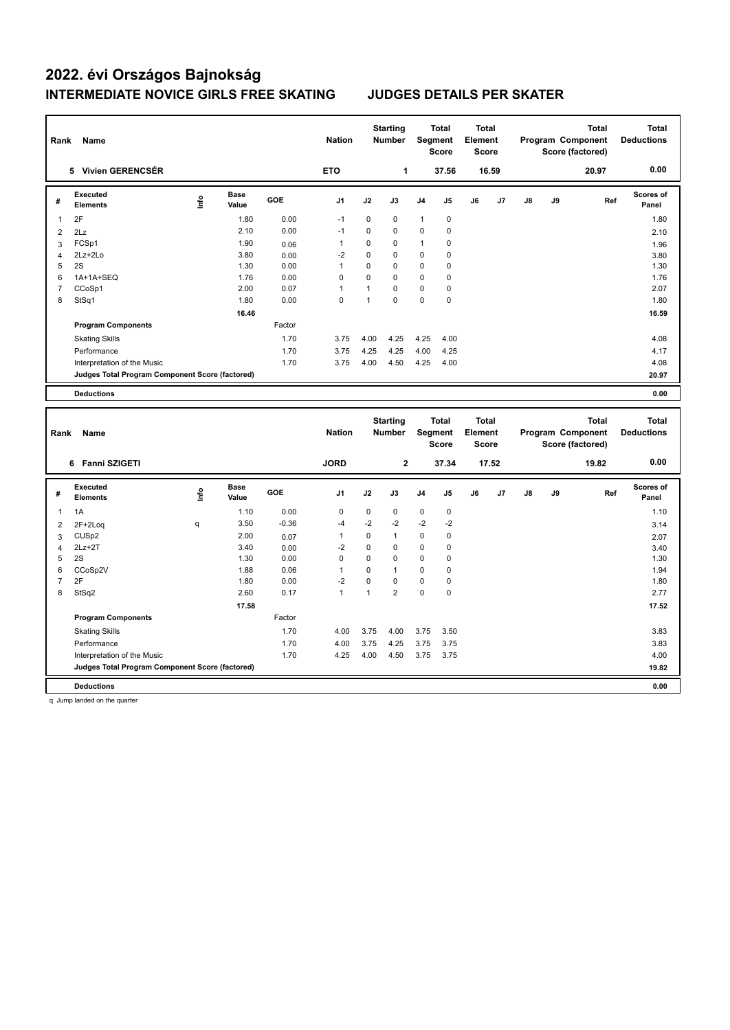| Rank           | Name                                            |      |                      |              | <b>Nation</b>  |              | <b>Starting</b><br><b>Number</b> |                | <b>Total</b><br><b>Segment</b><br>Score | <b>Total</b><br>Element<br>Score        |       |    |    | <b>Total</b><br>Program Component<br>Score (factored) |     | <b>Total</b><br><b>Deductions</b> |
|----------------|-------------------------------------------------|------|----------------------|--------------|----------------|--------------|----------------------------------|----------------|-----------------------------------------|-----------------------------------------|-------|----|----|-------------------------------------------------------|-----|-----------------------------------|
|                | 5 Vivien GERENCSÉR                              |      |                      |              | <b>ETO</b>     |              | 1                                |                | 37.56                                   |                                         | 16.59 |    |    | 20.97                                                 |     | 0.00                              |
| #              | <b>Executed</b><br><b>Elements</b>              | ١nf٥ | <b>Base</b><br>Value | GOE          | J <sub>1</sub> | J2           | J3                               | J <sub>4</sub> | J5                                      | J6                                      | J7    | J8 | J9 |                                                       | Ref | Scores of<br>Panel                |
| $\mathbf{1}$   | 2F                                              |      | 1.80                 | 0.00         | $-1$           | $\mathbf 0$  | 0                                | $\mathbf{1}$   | $\mathbf 0$                             |                                         |       |    |    |                                                       |     | 1.80                              |
| $\overline{2}$ | 2Lz                                             |      | 2.10                 | 0.00         | $-1$           | 0            | 0                                | 0              | $\mathbf 0$                             |                                         |       |    |    |                                                       |     | 2.10                              |
| 3              | FCSp1                                           |      | 1.90                 | 0.06         | $\mathbf{1}$   | $\mathbf 0$  | 0                                | 1              | 0                                       |                                         |       |    |    |                                                       |     | 1.96                              |
| 4              | 2Lz+2Lo                                         |      | 3.80                 | 0.00         | $-2$           | 0            | $\mathbf 0$                      | 0              | $\Omega$                                |                                         |       |    |    |                                                       |     | 3.80                              |
| 5              | 2S                                              |      | 1.30                 | 0.00         | $\overline{1}$ | $\Omega$     | 0                                | $\mathbf 0$    | $\mathbf 0$                             |                                         |       |    |    |                                                       |     | 1.30                              |
| 6              | 1A+1A+SEQ                                       |      | 1.76                 | 0.00         | $\mathbf 0$    | $\mathbf 0$  | 0                                | $\mathbf 0$    | 0                                       |                                         |       |    |    |                                                       |     | 1.76                              |
| $\overline{7}$ | CCoSp1                                          |      | 2.00                 | 0.07         | $\mathbf{1}$   | $\mathbf{1}$ | 0                                | $\mathbf 0$    | $\mathbf 0$                             |                                         |       |    |    |                                                       |     | 2.07                              |
| 8              | StSq1                                           |      | 1.80                 | 0.00         | $\mathbf 0$    | $\mathbf{1}$ | $\mathbf 0$                      | 0              | $\mathbf 0$                             |                                         |       |    |    |                                                       |     | 1.80                              |
|                |                                                 |      | 16.46                |              |                |              |                                  |                |                                         |                                         |       |    |    |                                                       |     | 16.59                             |
|                | <b>Program Components</b>                       |      |                      | Factor       |                |              |                                  |                |                                         |                                         |       |    |    |                                                       |     |                                   |
|                | <b>Skating Skills</b>                           |      |                      | 1.70         | 3.75           | 4.00         | 4.25                             | 4.25           | 4.00                                    |                                         |       |    |    |                                                       |     | 4.08                              |
|                | Performance                                     |      |                      | 1.70         | 3.75           | 4.25         | 4.25                             | 4.00           | 4.25                                    |                                         |       |    |    |                                                       |     | 4.17                              |
|                | Interpretation of the Music                     |      |                      | 1.70         | 3.75           | 4.00         | 4.50                             | 4.25           | 4.00                                    |                                         |       |    |    |                                                       |     | 4.08                              |
|                | Judges Total Program Component Score (factored) |      |                      |              |                |              |                                  |                |                                         |                                         |       |    |    |                                                       |     | 20.97                             |
|                | <b>Deductions</b>                               |      |                      |              |                |              |                                  |                |                                         |                                         |       |    |    |                                                       |     | 0.00                              |
|                |                                                 |      |                      |              |                |              |                                  |                |                                         |                                         |       |    |    |                                                       |     |                                   |
|                |                                                 |      |                      |              |                |              |                                  |                |                                         |                                         |       |    |    |                                                       |     |                                   |
| Rank           | Name                                            |      |                      |              | <b>Nation</b>  |              | <b>Starting</b><br><b>Number</b> |                | <b>Total</b><br>Segment<br><b>Score</b> | <b>Total</b><br>Element<br><b>Score</b> |       |    |    | <b>Total</b><br>Program Component<br>Score (factored) |     | <b>Total</b><br><b>Deductions</b> |
|                | 6 Fanni SZIGETI                                 |      |                      |              | <b>JORD</b>    |              | $\overline{2}$                   |                | 37.34                                   |                                         | 17.52 |    |    | 19.82                                                 |     | 0.00                              |
| #              | <b>Executed</b><br><b>Elements</b>              | ١nf٥ | Base<br>Value        | <b>GOE</b>   | J1             | J2           | J3                               | J <sub>4</sub> | J5                                      | J6                                      | J7    | J8 | J9 |                                                       | Ref | Scores of<br>Panel                |
| 1              | 1A                                              |      | 1.10                 | 0.00         | $\mathbf 0$    | $\mathbf 0$  | 0                                | $\mathbf 0$    | $\mathbf 0$                             |                                         |       |    |    |                                                       |     | 1.10                              |
|                |                                                 | q    | 3.50                 | $-0.36$      | $-4$           | $-2$         | $-2$                             | $-2$           | $-2$                                    |                                         |       |    |    |                                                       |     |                                   |
| $\overline{c}$ | 2F+2Loq<br>CUS <sub>p2</sub>                    |      | 2.00                 |              | $\mathbf{1}$   | $\mathbf 0$  | $\mathbf{1}$                     | $\pmb{0}$      | $\mathbf 0$                             |                                         |       |    |    |                                                       |     | 3.14                              |
| 3<br>4         | $2Lz + 2T$                                      |      | 3.40                 | 0.07<br>0.00 | $-2$           | $\mathbf 0$  | 0                                | 0              | $\mathbf 0$                             |                                         |       |    |    |                                                       |     | 2.07                              |
| 5              | 2S                                              |      | 1.30                 | 0.00         | $\mathbf 0$    | $\Omega$     | 0                                | $\mathbf 0$    | 0                                       |                                         |       |    |    |                                                       |     | 3.40<br>1.30                      |
| 6              | CCoSp2V                                         |      | 1.88                 | 0.06         | $\mathbf{1}$   | $\Omega$     | $\mathbf{1}$                     | $\mathbf 0$    | $\mathbf 0$                             |                                         |       |    |    |                                                       |     | 1.94                              |
| $\overline{7}$ | 2F                                              |      | 1.80                 | 0.00         | $-2$           | $\mathbf 0$  | 0                                | 0              | $\mathbf 0$                             |                                         |       |    |    |                                                       |     | 1.80                              |
| 8              | StSq2                                           |      | 2.60                 | 0.17         | $\mathbf{1}$   | $\mathbf{1}$ | $\overline{2}$                   | $\mathbf 0$    | $\mathbf 0$                             |                                         |       |    |    |                                                       |     | 2.77                              |
|                |                                                 |      | 17.58                |              |                |              |                                  |                |                                         |                                         |       |    |    |                                                       |     | 17.52                             |
|                | <b>Program Components</b>                       |      |                      | Factor       |                |              |                                  |                |                                         |                                         |       |    |    |                                                       |     |                                   |
|                |                                                 |      |                      | 1.70         | 4.00           | 3.75         | 4.00                             | 3.75           | 3.50                                    |                                         |       |    |    |                                                       |     | 3.83                              |
|                | <b>Skating Skills</b><br>Performance            |      |                      | 1.70         | 4.00           | 3.75         | 4.25                             | 3.75           | 3.75                                    |                                         |       |    |    |                                                       |     | 3.83                              |
|                | Interpretation of the Music                     |      |                      | 1.70         | 4.25           | 4.00         | 4.50                             | 3.75           | 3.75                                    |                                         |       |    |    |                                                       |     | 4.00                              |
|                | Judges Total Program Component Score (factored) |      |                      |              |                |              |                                  |                |                                         |                                         |       |    |    |                                                       |     | 19.82                             |

**Deductions 0.00**

q Jump landed on the quarter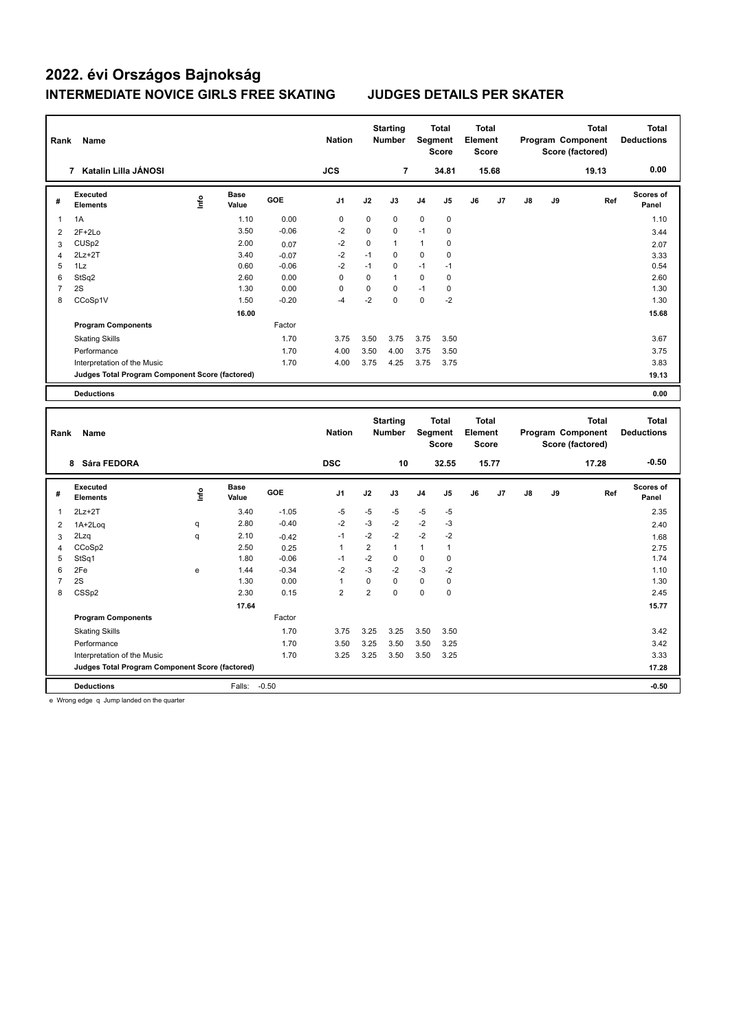| Rank           | Name                                                                           |           |                      |         | <b>Nation</b>  |                | <b>Starting</b><br><b>Number</b> |                | <b>Total</b><br>Segment<br><b>Score</b> | <b>Total</b><br>Element<br>Score |       |    |    | <b>Total</b><br>Program Component<br>Score (factored) |     | <b>Total</b><br><b>Deductions</b> |
|----------------|--------------------------------------------------------------------------------|-----------|----------------------|---------|----------------|----------------|----------------------------------|----------------|-----------------------------------------|----------------------------------|-------|----|----|-------------------------------------------------------|-----|-----------------------------------|
|                | 7 Katalin Lilla JÁNOSI                                                         |           |                      |         | <b>JCS</b>     |                | $\overline{\phantom{a}}$         |                | 34.81                                   |                                  | 15.68 |    |    | 19.13                                                 |     | 0.00                              |
| #              | Executed<br><b>Elements</b>                                                    | ١nf٥      | <b>Base</b><br>Value | GOE     | J1             | J2             | J3                               | J <sub>4</sub> | J5                                      | J6                               | J7    | J8 | J9 |                                                       | Ref | Scores of<br>Panel                |
| 1              | 1A                                                                             |           | 1.10                 | 0.00    | $\mathbf 0$    | $\Omega$       | 0                                | 0              | $\mathbf 0$                             |                                  |       |    |    |                                                       |     | 1.10                              |
| $\overline{2}$ | $2F+2Lo$                                                                       |           | 3.50                 | $-0.06$ | $-2$           | $\mathbf 0$    | $\mathbf 0$                      | $-1$           | 0                                       |                                  |       |    |    |                                                       |     | 3.44                              |
| 3              | CUS <sub>p2</sub>                                                              |           | 2.00                 | 0.07    | $-2$           | $\Omega$       | $\mathbf{1}$                     | $\mathbf{1}$   | $\mathbf 0$                             |                                  |       |    |    |                                                       |     | 2.07                              |
| 4              | $2Lz+2T$                                                                       |           | 3.40                 | $-0.07$ | $-2$           | $-1$           | $\mathbf 0$                      | $\mathbf 0$    | $\mathbf 0$                             |                                  |       |    |    |                                                       |     | 3.33                              |
| 5              | 1Lz                                                                            |           | 0.60                 | $-0.06$ | $-2$           | $-1$           | 0                                | $-1$           | $-1$                                    |                                  |       |    |    |                                                       |     | 0.54                              |
| 6              | StSq2                                                                          |           | 2.60                 | 0.00    | $\mathsf 0$    | $\mathbf 0$    | $\mathbf{1}$                     | $\pmb{0}$      | $\mathbf 0$                             |                                  |       |    |    |                                                       |     | 2.60                              |
| $\overline{7}$ | 2S                                                                             |           | 1.30                 | 0.00    | $\mathbf 0$    | $\mathbf 0$    | 0                                | $-1$           | $\mathbf 0$                             |                                  |       |    |    |                                                       |     | 1.30                              |
| 8              | CCoSp1V                                                                        |           | 1.50                 | $-0.20$ | $-4$           | $-2$           | $\mathbf 0$                      | $\mathbf 0$    | $-2$                                    |                                  |       |    |    |                                                       |     | 1.30                              |
|                |                                                                                |           | 16.00                |         |                |                |                                  |                |                                         |                                  |       |    |    |                                                       |     | 15.68                             |
|                | <b>Program Components</b>                                                      |           |                      | Factor  |                |                |                                  |                |                                         |                                  |       |    |    |                                                       |     |                                   |
|                | <b>Skating Skills</b>                                                          |           |                      | 1.70    | 3.75           | 3.50           | 3.75                             | 3.75           | 3.50                                    |                                  |       |    |    |                                                       |     | 3.67                              |
|                | Performance                                                                    |           |                      | 1.70    | 4.00           | 3.50           | 4.00                             | 3.75           | 3.50                                    |                                  |       |    |    |                                                       |     | 3.75                              |
|                | Interpretation of the Music                                                    |           |                      | 1.70    | 4.00           | 3.75           | 4.25                             | 3.75           | 3.75                                    |                                  |       |    |    |                                                       |     | 3.83                              |
|                | Judges Total Program Component Score (factored)                                |           |                      |         |                |                |                                  |                |                                         |                                  |       |    |    |                                                       |     | 19.13                             |
|                | <b>Deductions</b>                                                              |           |                      |         |                |                |                                  |                |                                         |                                  |       |    |    |                                                       |     | 0.00                              |
|                |                                                                                |           |                      |         |                |                |                                  |                |                                         |                                  |       |    |    |                                                       |     |                                   |
| Rank           | Name                                                                           |           |                      |         | <b>Nation</b>  |                | <b>Starting</b><br>Number        |                | <b>Total</b><br>Segment                 | Total<br>Element                 |       |    |    | <b>Total</b><br>Program Component                     |     | <b>Total</b><br><b>Deductions</b> |
|                |                                                                                |           |                      |         |                |                |                                  |                | <b>Score</b>                            | Score                            |       |    |    | Score (factored)                                      |     |                                   |
|                | 8 Sára FEDORA                                                                  |           |                      |         | <b>DSC</b>     |                | 10                               |                | 32.55                                   |                                  | 15.77 |    |    | 17.28                                                 |     | $-0.50$                           |
| #              | Executed<br><b>Elements</b>                                                    | ١nf٥      | <b>Base</b><br>Value | GOE     | J1             | J2             | J3                               | J <sub>4</sub> | J5                                      | J6                               | J7    | J8 | J9 |                                                       | Ref | Scores of<br>Panel                |
| $\mathbf{1}$   | $2Lz + 2T$                                                                     |           | 3.40                 | $-1.05$ | $-5$           | $-5$           | $-5$                             | $-5$           | $-5$                                    |                                  |       |    |    |                                                       |     | 2.35                              |
| $\overline{2}$ | 1A+2Loq                                                                        | q         | 2.80                 | $-0.40$ | $-2$           | $-3$           | $-2$                             | $-2$           | $-3$                                    |                                  |       |    |    |                                                       |     | 2.40                              |
| 3              | 2Lzq                                                                           | q         | 2.10                 | $-0.42$ | $-1$           | $-2$           | $-2$                             | $-2$           | $-2$                                    |                                  |       |    |    |                                                       |     | 1.68                              |
| 4              | CCoSp2                                                                         |           | 2.50                 | 0.25    | $\mathbf{1}$   | $\overline{2}$ | $\mathbf{1}$                     | $\mathbf{1}$   | $\mathbf{1}$                            |                                  |       |    |    |                                                       |     | 2.75                              |
| 5              | StSq1                                                                          |           | 1.80                 | $-0.06$ | $-1$           | $-2$           | 0                                | $\mathbf 0$    | $\mathbf 0$                             |                                  |       |    |    |                                                       |     | 1.74                              |
| 6              | 2Fe                                                                            | ${\bf e}$ | 1.44                 | $-0.34$ | $-2$           | $-3$           | $-2$                             | -3             | $-2$                                    |                                  |       |    |    |                                                       |     | 1.10                              |
| $\overline{7}$ | 2S                                                                             |           | 1.30                 | 0.00    | $\mathbf{1}$   | $\pmb{0}$      | 0                                | $\pmb{0}$      | $\mathbf 0$                             |                                  |       |    |    |                                                       |     | 1.30                              |
| 8              | CSS <sub>p2</sub>                                                              |           | 2.30                 | 0.15    | $\overline{2}$ | $\overline{2}$ | $\mathbf 0$                      | $\mathbf 0$    | $\mathbf 0$                             |                                  |       |    |    |                                                       |     | 2.45                              |
|                |                                                                                |           | 17.64                |         |                |                |                                  |                |                                         |                                  |       |    |    |                                                       |     | 15.77                             |
|                | <b>Program Components</b>                                                      |           |                      | Factor  |                |                |                                  |                |                                         |                                  |       |    |    |                                                       |     |                                   |
|                | <b>Skating Skills</b>                                                          |           |                      | 1.70    | 3.75           | 3.25           | 3.25                             | 3.50           | 3.50                                    |                                  |       |    |    |                                                       |     | 3.42                              |
|                | Performance                                                                    |           |                      | 1.70    | 3.50           | 3.25           | 3.50                             | 3.50           | 3.25                                    |                                  |       |    |    |                                                       |     | 3.42                              |
|                | Interpretation of the Music<br>Judges Total Program Component Score (factored) |           |                      | 1.70    | 3.25           | 3.25           | 3.50                             | 3.50           | 3.25                                    |                                  |       |    |    |                                                       |     | 3.33                              |

**Deductions** Falls: -0.50 **-0.50**

e Wrong edge q Jump landed on the quarter